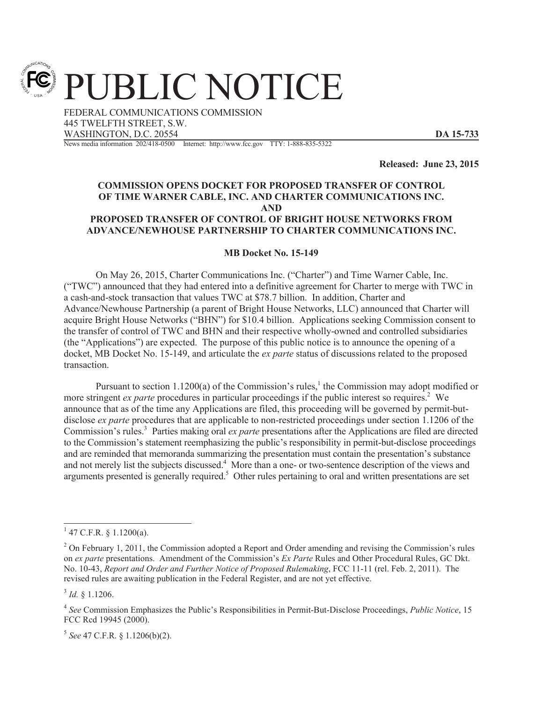PUBLIC NOTICE

FEDERAL COMMUNICATIONS COMMISSION 445 TWELFTH STREET, S.W. WASHINGTON, D.C. 20554 **DA 15-733** News media information 202/418-0500 Internet: http://www.fcc.gov TTY: 1-888-835-5322

**Released: June 23, 2015**

## **COMMISSION OPENS DOCKET FOR PROPOSED TRANSFER OF CONTROL OF TIME WARNER CABLE, INC. AND CHARTER COMMUNICATIONS INC. AND PROPOSED TRANSFER OF CONTROL OF BRIGHT HOUSE NETWORKS FROM ADVANCE/NEWHOUSE PARTNERSHIP TO CHARTER COMMUNICATIONS INC.**

## **MB Docket No. 15-149**

On May 26, 2015, Charter Communications Inc. ("Charter") and Time Warner Cable, Inc. ("TWC") announced that they had entered into a definitive agreement for Charter to merge with TWC in a cash-and-stock transaction that values TWC at \$78.7 billion. In addition, Charter and Advance/Newhouse Partnership (a parent of Bright House Networks, LLC) announced that Charter will acquire Bright House Networks ("BHN") for \$10.4 billion. Applications seeking Commission consent to the transfer of control of TWC and BHN and their respective wholly-owned and controlled subsidiaries (the "Applications") are expected. The purpose of this public notice is to announce the opening of a docket, MB Docket No. 15-149, and articulate the *ex parte* status of discussions related to the proposed transaction.

Pursuant to section 1.1200(a) of the Commission's rules, $<sup>1</sup>$  the Commission may adopt modified or</sup> more stringent *ex parte* procedures in particular proceedings if the public interest so requires.<sup>2</sup> We announce that as of the time any Applications are filed, this proceeding will be governed by permit-butdisclose *ex parte* procedures that are applicable to non-restricted proceedings under section 1.1206 of the Commission's rules.<sup>3</sup> Parties making oral *ex parte* presentations after the Applications are filed are directed to the Commission's statement reemphasizing the public's responsibility in permit-but-disclose proceedings and are reminded that memoranda summarizing the presentation must contain the presentation's substance and not merely list the subjects discussed.<sup>4</sup> More than a one- or two-sentence description of the views and arguments presented is generally required.<sup>5</sup> Other rules pertaining to oral and written presentations are set

3 *Id.* § 1.1206.

5 *See* 47 C.F.R. § 1.1206(b)(2).

 $1$  47 C.F.R. § 1.1200(a).

<sup>&</sup>lt;sup>2</sup> On February 1, 2011, the Commission adopted a Report and Order amending and revising the Commission's rules on *ex parte* presentations. Amendment of the Commission's *Ex Parte* Rules and Other Procedural Rules, GC Dkt. No. 10-43, *Report and Order and Further Notice of Proposed Rulemaking*, FCC 11-11 (rel. Feb. 2, 2011). The revised rules are awaiting publication in the Federal Register, and are not yet effective.

<sup>4</sup> *See* Commission Emphasizes the Public's Responsibilities in Permit-But-Disclose Proceedings, *Public Notice*, 15 FCC Rcd 19945 (2000).